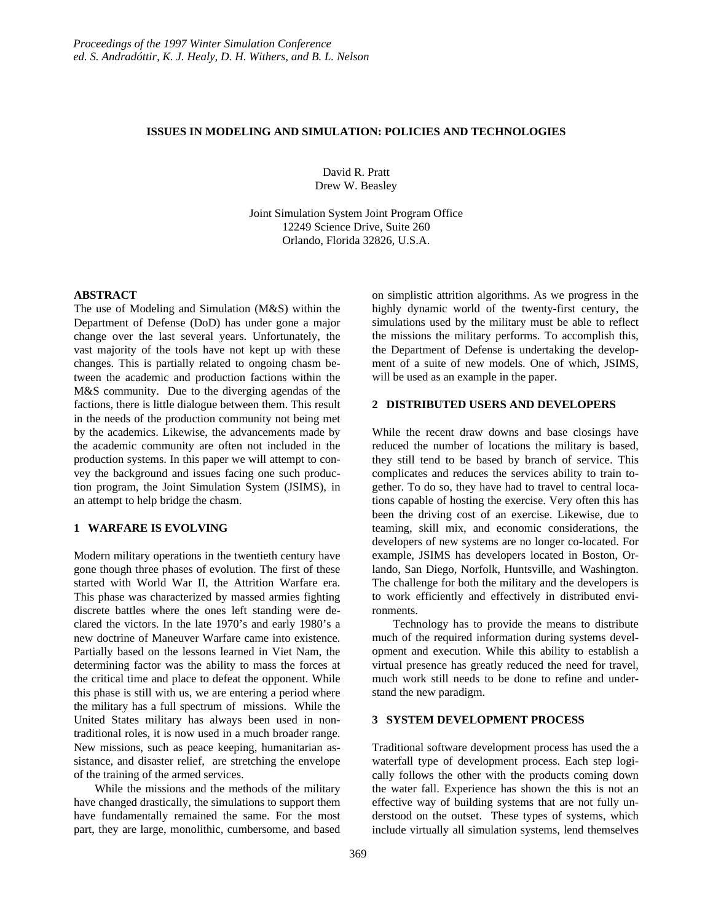### **ISSUES IN MODELING AND SIMULATION: POLICIES AND TECHNOLOGIES**

David R. Pratt Drew W. Beasley

Joint Simulation System Joint Program Office 12249 Science Drive, Suite 260 Orlando, Florida 32826, U.S.A.

## **ABSTRACT**

The use of Modeling and Simulation (M&S) within the Department of Defense (DoD) has under gone a major change over the last several years. Unfortunately, the vast majority of the tools have not kept up with these changes. This is partially related to ongoing chasm between the academic and production factions within the M&S community. Due to the diverging agendas of the factions, there is little dialogue between them. This result in the needs of the production community not being met by the academics. Likewise, the advancements made by the academic community are often not included in the production systems. In this paper we will attempt to convey the background and issues facing one such production program, the Joint Simulation System (JSIMS), in an attempt to help bridge the chasm.

#### **1 WARFARE IS EVOLVING**

Modern military operations in the twentieth century have gone though three phases of evolution. The first of these started with World War II, the Attrition Warfare era. This phase was characterized by massed armies fighting discrete battles where the ones left standing were declared the victors. In the late 1970's and early 1980's a new doctrine of Maneuver Warfare came into existence. Partially based on the lessons learned in Viet Nam, the determining factor was the ability to mass the forces at the critical time and place to defeat the opponent. While this phase is still with us, we are entering a period where the military has a full spectrum of missions. While the United States military has always been used in nontraditional roles, it is now used in a much broader range. New missions, such as peace keeping, humanitarian assistance, and disaster relief, are stretching the envelope of the training of the armed services.

While the missions and the methods of the military have changed drastically, the simulations to support them have fundamentally remained the same. For the most part, they are large, monolithic, cumbersome, and based

on simplistic attrition algorithms. As we progress in the highly dynamic world of the twenty-first century, the simulations used by the military must be able to reflect the missions the military performs. To accomplish this, the Department of Defense is undertaking the development of a suite of new models. One of which, JSIMS, will be used as an example in the paper.

## **2 DISTRIBUTED USERS AND DEVELOPERS**

While the recent draw downs and base closings have reduced the number of locations the military is based, they still tend to be based by branch of service. This complicates and reduces the services ability to train together. To do so, they have had to travel to central locations capable of hosting the exercise. Very often this has been the driving cost of an exercise. Likewise, due to teaming, skill mix, and economic considerations, the developers of new systems are no longer co-located. For example, JSIMS has developers located in Boston, Orlando, San Diego, Norfolk, Huntsville, and Washington. The challenge for both the military and the developers is to work efficiently and effectively in distributed environments.

Technology has to provide the means to distribute much of the required information during systems development and execution. While this ability to establish a virtual presence has greatly reduced the need for travel, much work still needs to be done to refine and understand the new paradigm.

## **3 SYSTEM DEVELOPMENT PROCESS**

Traditional software development process has used the a waterfall type of development process. Each step logically follows the other with the products coming down the water fall. Experience has shown the this is not an effective way of building systems that are not fully understood on the outset. These types of systems, which include virtually all simulation systems, lend themselves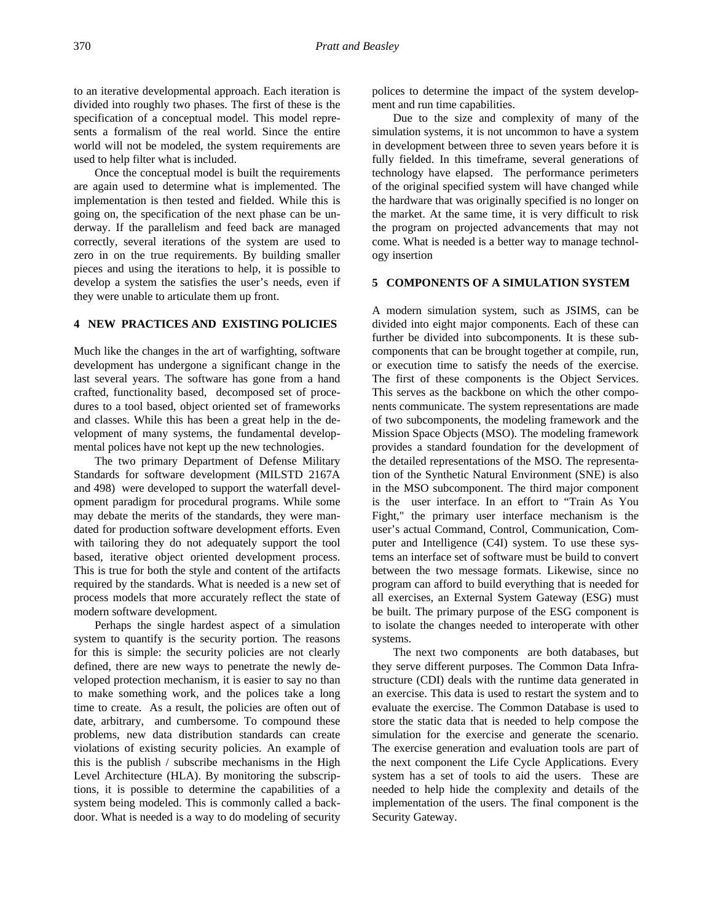to an iterative developmental approach. Each iteration is divided into roughly two phases. The first of these is the specification of a conceptual model. This model represents a formalism of the real world. Since the entire world will not be modeled, the system requirements are used to help filter what is included.

Once the conceptual model is built the requirements are again used to determine what is implemented. The implementation is then tested and fielded. While this is going on, the specification of the next phase can be underway. If the parallelism and feed back are managed correctly, several iterations of the system are used to zero in on the true requirements. By building smaller pieces and using the iterations to help, it is possible to develop a system the satisfies the user's needs, even if they were unable to articulate them up front.

# **4 NEW PRACTICES AND EXISTING POLICIES**

Much like the changes in the art of warfighting, software development has undergone a significant change in the last several years. The software has gone from a hand crafted, functionality based, decomposed set of procedures to a tool based, object oriented set of frameworks and classes. While this has been a great help in the development of many systems, the fundamental developmental polices have not kept up the new technologies.

The two primary Department of Defense Military Standards for software development (MILSTD 2167A and 498) were developed to support the waterfall development paradigm for procedural programs. While some may debate the merits of the standards, they were mandated for production software development efforts. Even with tailoring they do not adequately support the tool based, iterative object oriented development process. This is true for both the style and content of the artifacts required by the standards. What is needed is a new set of process models that more accurately reflect the state of modern software development.

Perhaps the single hardest aspect of a simulation system to quantify is the security portion. The reasons for this is simple: the security policies are not clearly defined, there are new ways to penetrate the newly developed protection mechanism, it is easier to say no than to make something work, and the polices take a long time to create. As a result, the policies are often out of date, arbitrary, and cumbersome. To compound these problems, new data distribution standards can create violations of existing security policies. An example of this is the publish / subscribe mechanisms in the High Level Architecture (HLA). By monitoring the subscriptions, it is possible to determine the capabilities of a system being modeled. This is commonly called a backdoor. What is needed is a way to do modeling of security

polices to determine the impact of the system development and run time capabilities.

Due to the size and complexity of many of the simulation systems, it is not uncommon to have a system in development between three to seven years before it is fully fielded. In this timeframe, several generations of technology have elapsed. The performance perimeters of the original specified system will have changed while the hardware that was originally specified is no longer on the market. At the same time, it is very difficult to risk the program on projected advancements that may not come. What is needed is a better way to manage technology insertion

#### **5 COMPONENTS OF A SIMULATION SYSTEM**

A modern simulation system, such as JSIMS, can be divided into eight major components. Each of these can further be divided into subcomponents. It is these subcomponents that can be brought together at compile, run, or execution time to satisfy the needs of the exercise. The first of these components is the Object Services. This serves as the backbone on which the other components communicate. The system representations are made of two subcomponents, the modeling framework and the Mission Space Objects (MSO). The modeling framework provides a standard foundation for the development of the detailed representations of the MSO. The representation of the Synthetic Natural Environment (SNE) is also in the MSO subcomponent. The third major component is the user interface. In an effort to "Train As You Fight," the primary user interface mechanism is the user's actual Command, Control, Communication, Computer and Intelligence (C4I) system. To use these systems an interface set of software must be build to convert between the two message formats. Likewise, since no program can afford to build everything that is needed for all exercises, an External System Gateway (ESG) must be built. The primary purpose of the ESG component is to isolate the changes needed to interoperate with other systems.

The next two components are both databases, but they serve different purposes. The Common Data Infrastructure (CDI) deals with the runtime data generated in an exercise. This data is used to restart the system and to evaluate the exercise. The Common Database is used to store the static data that is needed to help compose the simulation for the exercise and generate the scenario. The exercise generation and evaluation tools are part of the next component the Life Cycle Applications. Every system has a set of tools to aid the users. These are needed to help hide the complexity and details of the implementation of the users. The final component is the Security Gateway.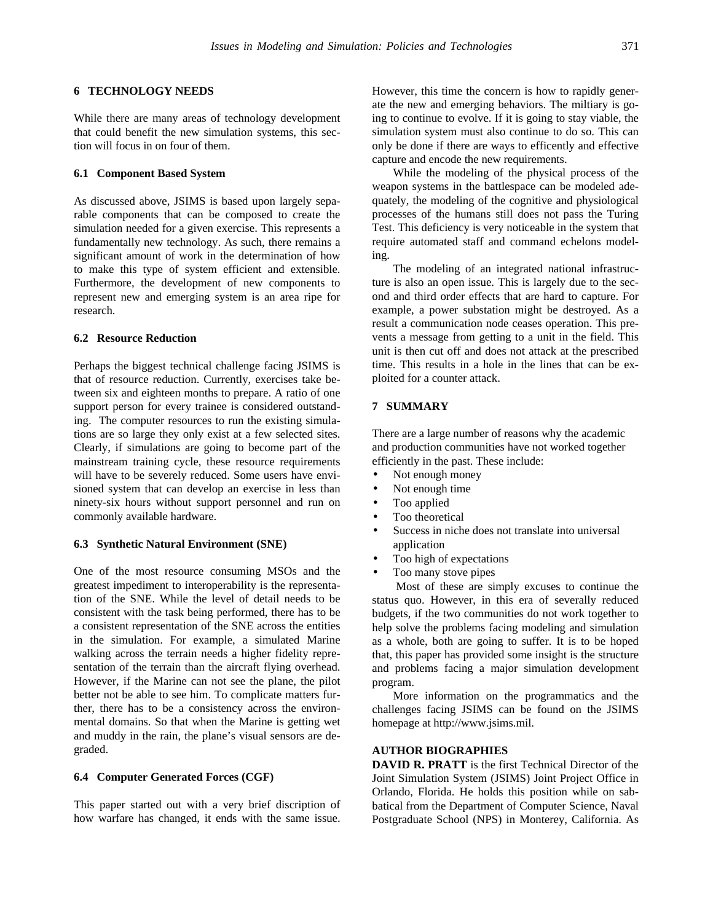#### **6 TECHNOLOGY NEEDS**

While there are many areas of technology development that could benefit the new simulation systems, this section will focus in on four of them.

### **6.1 Component Based System**

As discussed above, JSIMS is based upon largely separable components that can be composed to create the simulation needed for a given exercise. This represents a fundamentally new technology. As such, there remains a significant amount of work in the determination of how to make this type of system efficient and extensible. Furthermore, the development of new components to represent new and emerging system is an area ripe for research.

## **6.2 Resource Reduction**

Perhaps the biggest technical challenge facing JSIMS is that of resource reduction. Currently, exercises take between six and eighteen months to prepare. A ratio of one support person for every trainee is considered outstanding. The computer resources to run the existing simulations are so large they only exist at a few selected sites. Clearly, if simulations are going to become part of the mainstream training cycle, these resource requirements will have to be severely reduced. Some users have envisioned system that can develop an exercise in less than ninety-six hours without support personnel and run on commonly available hardware.

### **6.3 Synthetic Natural Environment (SNE)**

One of the most resource consuming MSOs and the greatest impediment to interoperability is the representation of the SNE. While the level of detail needs to be consistent with the task being performed, there has to be a consistent representation of the SNE across the entities in the simulation. For example, a simulated Marine walking across the terrain needs a higher fidelity representation of the terrain than the aircraft flying overhead. However, if the Marine can not see the plane, the pilot better not be able to see him. To complicate matters further, there has to be a consistency across the environmental domains. So that when the Marine is getting wet and muddy in the rain, the plane's visual sensors are degraded.

#### **6.4 Computer Generated Forces (CGF)**

This paper started out with a very brief discription of how warfare has changed, it ends with the same issue.

However, this time the concern is how to rapidly generate the new and emerging behaviors. The miltiary is going to continue to evolve. If it is going to stay viable, the simulation system must also continue to do so. This can only be done if there are ways to efficently and effective capture and encode the new requirements.

While the modeling of the physical process of the weapon systems in the battlespace can be modeled adequately, the modeling of the cognitive and physiological processes of the humans still does not pass the Turing Test. This deficiency is very noticeable in the system that require automated staff and command echelons modeling.

The modeling of an integrated national infrastructure is also an open issue. This is largely due to the second and third order effects that are hard to capture. For example, a power substation might be destroyed. As a result a communication node ceases operation. This prevents a message from getting to a unit in the field. This unit is then cut off and does not attack at the prescribed time. This results in a hole in the lines that can be exploited for a counter attack.

## **7 SUMMARY**

There are a large number of reasons why the academic and production communities have not worked together efficiently in the past. These include:

- Not enough money
- Not enough time
- Too applied
- Too theoretical
- Success in niche does not translate into universal application
- Too high of expectations
- Too many stove pipes

 Most of these are simply excuses to continue the status quo. However, in this era of severally reduced budgets, if the two communities do not work together to help solve the problems facing modeling and simulation as a whole, both are going to suffer. It is to be hoped that, this paper has provided some insight is the structure and problems facing a major simulation development program.

More information on the programmatics and the challenges facing JSIMS can be found on the JSIMS homepage at http://www.jsims.mil.

# **AUTHOR BIOGRAPHIES**

**DAVID R. PRATT** is the first Technical Director of the Joint Simulation System (JSIMS) Joint Project Office in Orlando, Florida. He holds this position while on sabbatical from the Department of Computer Science, Naval Postgraduate School (NPS) in Monterey, California. As